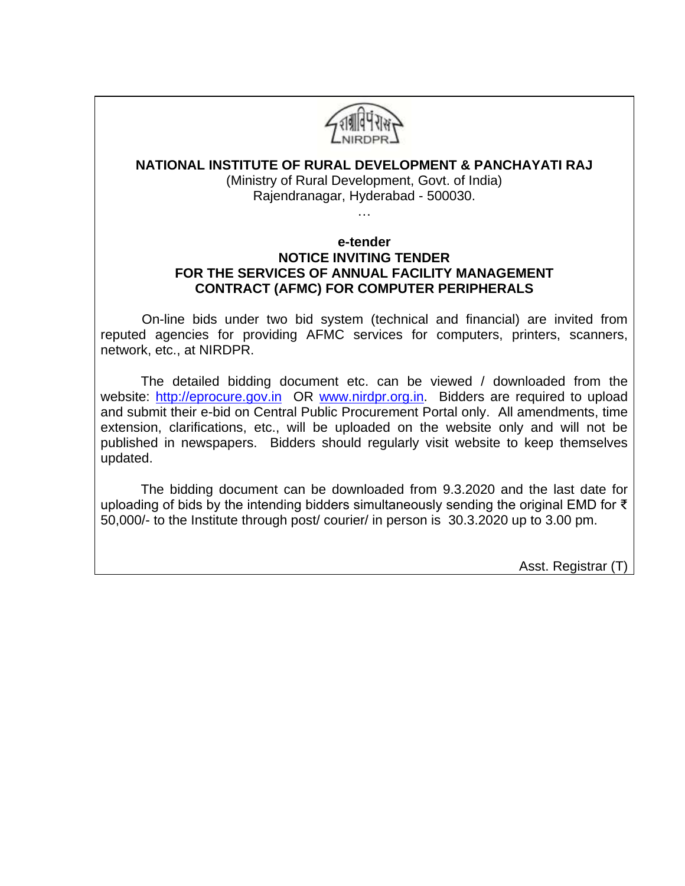

## **NATIONAL INSTITUTE OF RURAL DEVELOPMENT & PANCHAYATI RAJ**

(Ministry of Rural Development, Govt. of India) Rajendranagar, Hyderabad - 500030.

…

#### **e-tender NOTICE INVITING TENDER FOR THE SERVICES OF ANNUAL FACILITY MANAGEMENT CONTRACT (AFMC) FOR COMPUTER PERIPHERALS**

 On-line bids under two bid system (technical and financial) are invited from reputed agencies for providing AFMC services for computers, printers, scanners, network, etc., at NIRDPR.

The detailed bidding document etc. can be viewed / downloaded from the website: [http://eprocure.gov.in](http://eprocure.gov.in/) OR [www.nirdpr.org.in.](http://www.nirdpr.org.in/) Bidders are required to upload and submit their e-bid on Central Public Procurement Portal only. All amendments, time extension, clarifications, etc., will be uploaded on the website only and will not be published in newspapers. Bidders should regularly visit website to keep themselves updated.

The bidding document can be downloaded from 9.3.2020 and the last date for uploading of bids by the intending bidders simultaneously sending the original EMD for ₹ 50,000/- to the Institute through post/ courier/ in person is 30.3.2020 up to 3.00 pm.

Asst. Registrar (T)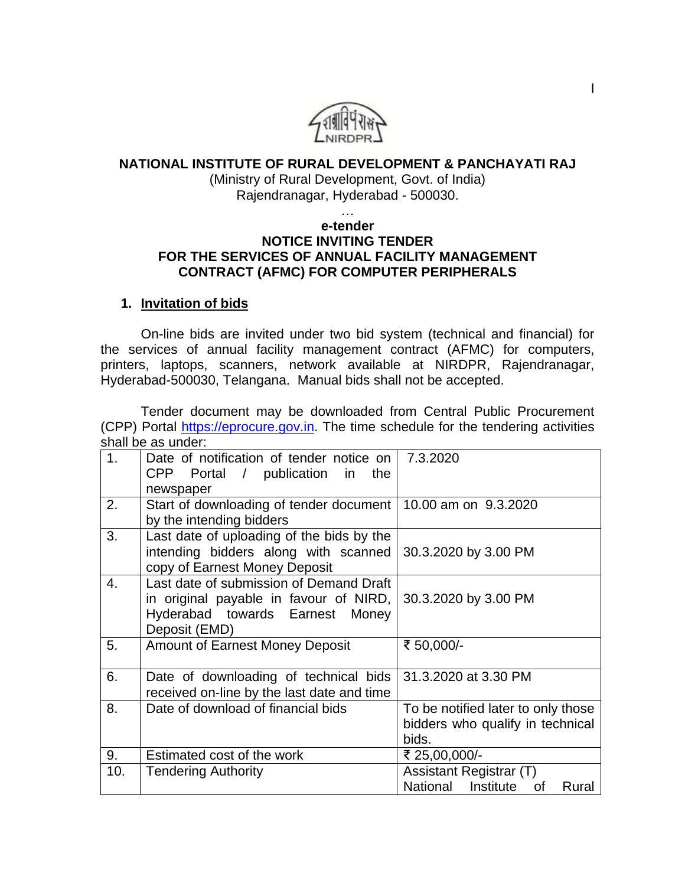

### **NATIONAL INSTITUTE OF RURAL DEVELOPMENT & PANCHAYATI RAJ**

(Ministry of Rural Development, Govt. of India) Rajendranagar, Hyderabad - 500030.

…

#### **e-tender NOTICE INVITING TENDER FOR THE SERVICES OF ANNUAL FACILITY MANAGEMENT CONTRACT (AFMC) FOR COMPUTER PERIPHERALS**

# **1. Invitation of bids**

On-line bids are invited under two bid system (technical and financial) for the services of annual facility management contract (AFMC) for computers, printers, laptops, scanners, network available at NIRDPR, Rajendranagar, Hyderabad-500030, Telangana. Manual bids shall not be accepted.

Tender document may be downloaded from Central Public Procurement (CPP) Portal [https://eprocure.gov.in.](https://eprocure.gov.in/) The time schedule for the tendering activities shall be as under:

| 1 <sub>1</sub> | Date of notification of tender notice on                       | 7.3.2020                           |
|----------------|----------------------------------------------------------------|------------------------------------|
|                | CPP Portal / publication in<br>the                             |                                    |
|                | newspaper                                                      |                                    |
| 2.             | Start of downloading of tender document   10.00 am on 9.3.2020 |                                    |
|                | by the intending bidders                                       |                                    |
| 3.             | Last date of uploading of the bids by the                      |                                    |
|                | intending bidders along with scanned                           | 30.3.2020 by 3.00 PM               |
|                | copy of Earnest Money Deposit                                  |                                    |
|                |                                                                |                                    |
| 4.             | Last date of submission of Demand Draft                        |                                    |
|                | in original payable in favour of NIRD,                         | 30.3.2020 by 3.00 PM               |
|                | Hyderabad towards Earnest Money                                |                                    |
|                | Deposit (EMD)                                                  |                                    |
| 5.             | <b>Amount of Earnest Money Deposit</b>                         | ₹ 50,000/-                         |
|                |                                                                |                                    |
| 6.             | Date of downloading of technical bids                          | 31.3.2020 at 3.30 PM               |
|                | received on-line by the last date and time                     |                                    |
|                |                                                                |                                    |
| 8.             | Date of download of financial bids                             | To be notified later to only those |
|                |                                                                | bidders who qualify in technical   |
|                |                                                                | bids.                              |
| 9.             | Estimated cost of the work                                     | ₹ 25,00,000/-                      |
| 10.            | <b>Tendering Authority</b>                                     | Assistant Registrar (T)            |
|                |                                                                | National Institute of<br>Rural     |
|                |                                                                |                                    |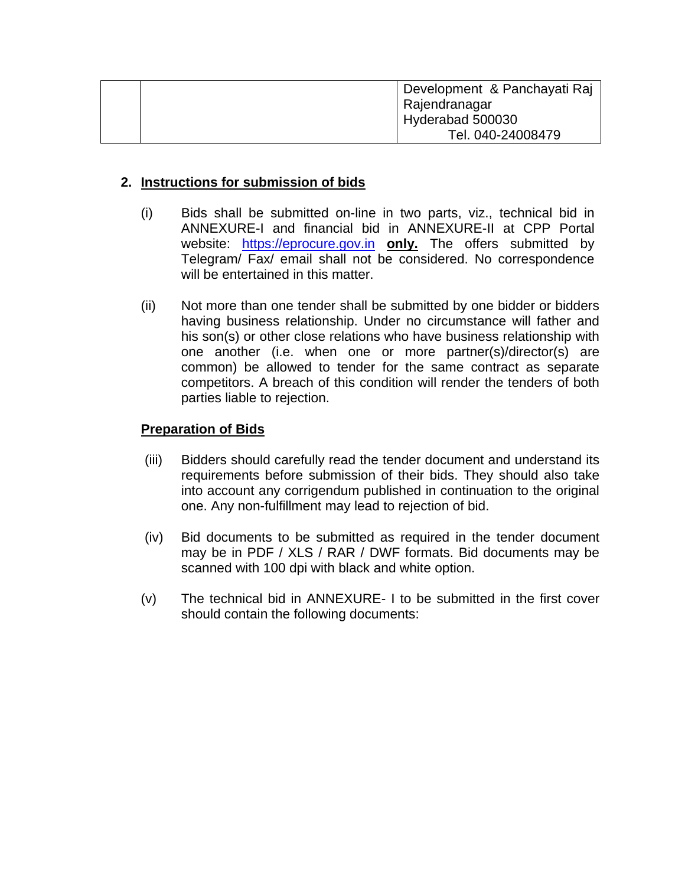|  | Development & Panchayati Raj |
|--|------------------------------|
|  | Rajendranagar                |
|  | Hyderabad 500030             |
|  | Tel. 040-24008479            |

## **2. Instructions for submission of bids**

- (i) Bids shall be submitted on-line in two parts, viz., technical bid in ANNEXURE-I and financial bid in ANNEXURE-II at CPP Portal website: [https://eprocure.gov.in](https://eprocure.gov.in/) **only.** The offers submitted by Telegram/ Fax/ email shall not be considered. No correspondence will be entertained in this matter.
- (ii) Not more than one tender shall be submitted by one bidder or bidders having business relationship. Under no circumstance will father and his son(s) or other close relations who have business relationship with one another (i.e. when one or more partner(s)/director(s) are common) be allowed to tender for the same contract as separate competitors. A breach of this condition will render the tenders of both parties liable to rejection.

#### **Preparation of Bids**

- (iii) Bidders should carefully read the tender document and understand its requirements before submission of their bids. They should also take into account any corrigendum published in continuation to the original one. Any non-fulfillment may lead to rejection of bid.
- (iv) Bid documents to be submitted as required in the tender document may be in PDF / XLS / RAR / DWF formats. Bid documents may be scanned with 100 dpi with black and white option.
- (v) The technical bid in ANNEXURE- I to be submitted in the first cover should contain the following documents: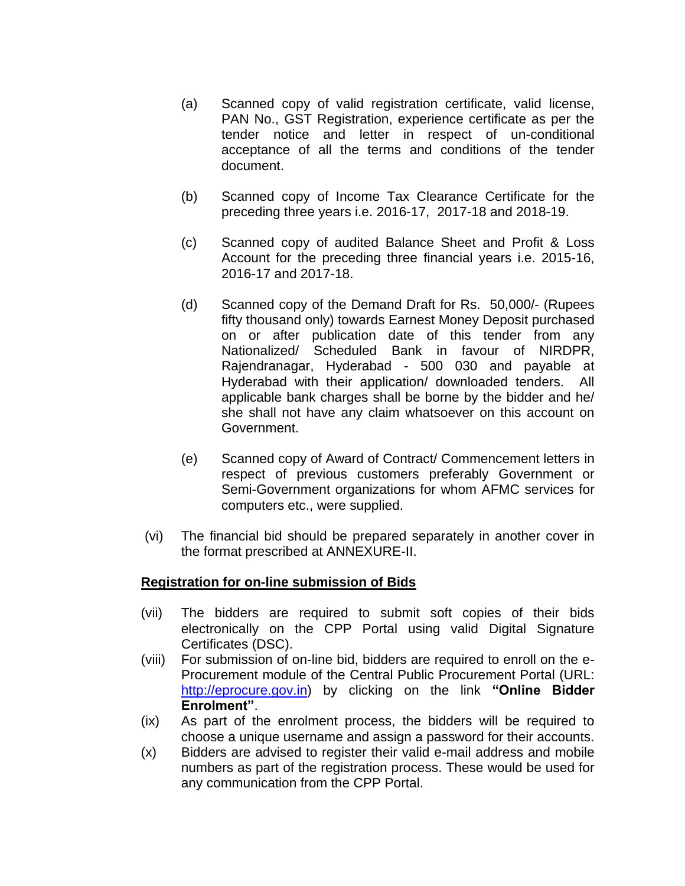- (a) Scanned copy of valid registration certificate, valid license, PAN No., GST Registration, experience certificate as per the tender notice and letter in respect of un-conditional acceptance of all the terms and conditions of the tender document.
- (b) Scanned copy of Income Tax Clearance Certificate for the preceding three years i.e. 2016-17, 2017-18 and 2018-19.
- (c) Scanned copy of audited Balance Sheet and Profit & Loss Account for the preceding three financial years i.e. 2015-16, 2016-17 and 2017-18.
- (d) Scanned copy of the Demand Draft for Rs. 50,000/- (Rupees fifty thousand only) towards Earnest Money Deposit purchased on or after publication date of this tender from any Nationalized/ Scheduled Bank in favour of NIRDPR, Rajendranagar, Hyderabad - 500 030 and payable at Hyderabad with their application/ downloaded tenders. All applicable bank charges shall be borne by the bidder and he/ she shall not have any claim whatsoever on this account on Government.
- (e) Scanned copy of Award of Contract/ Commencement letters in respect of previous customers preferably Government or Semi-Government organizations for whom AFMC services for computers etc., were supplied.
- (vi) The financial bid should be prepared separately in another cover in the format prescribed at ANNEXURE-II.

#### **Registration for on-line submission of Bids**

- (vii) The bidders are required to submit soft copies of their bids electronically on the CPP Portal using valid Digital Signature Certificates (DSC).
- (viii) For submission of on-line bid, bidders are required to enroll on the e-Procurement module of the Central Public Procurement Portal (URL: [http://eprocure.gov.in\)](http://eprocure.gov.in/eprocure/app) by clicking on the link **"Online Bidder Enrolment"**.
- (ix) As part of the enrolment process, the bidders will be required to choose a unique username and assign a password for their accounts.
- (x) Bidders are advised to register their valid e-mail address and mobile numbers as part of the registration process. These would be used for any communication from the CPP Portal.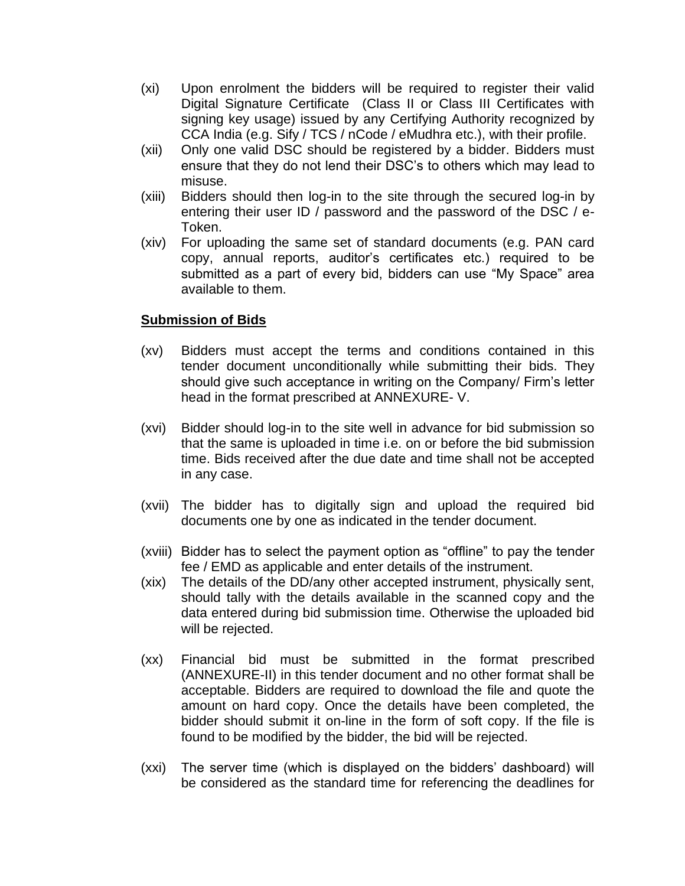- (xi) Upon enrolment the bidders will be required to register their valid Digital Signature Certificate (Class II or Class III Certificates with signing key usage) issued by any Certifying Authority recognized by CCA India (e.g. Sify / TCS / nCode / eMudhra etc.), with their profile.
- (xii) Only one valid DSC should be registered by a bidder. Bidders must ensure that they do not lend their DSC's to others which may lead to misuse.
- (xiii) Bidders should then log-in to the site through the secured log-in by entering their user ID / password and the password of the DSC / e-Token.
- (xiv) For uploading the same set of standard documents (e.g. PAN card copy, annual reports, auditor's certificates etc.) required to be submitted as a part of every bid, bidders can use "My Space" area available to them.

## **Submission of Bids**

- (xv) Bidders must accept the terms and conditions contained in this tender document unconditionally while submitting their bids. They should give such acceptance in writing on the Company/ Firm's letter head in the format prescribed at ANNEXURE- V.
- (xvi) Bidder should log-in to the site well in advance for bid submission so that the same is uploaded in time i.e. on or before the bid submission time. Bids received after the due date and time shall not be accepted in any case.
- (xvii) The bidder has to digitally sign and upload the required bid documents one by one as indicated in the tender document.
- (xviii) Bidder has to select the payment option as "offline" to pay the tender fee / EMD as applicable and enter details of the instrument.
- (xix) The details of the DD/any other accepted instrument, physically sent, should tally with the details available in the scanned copy and the data entered during bid submission time. Otherwise the uploaded bid will be rejected.
- (xx) Financial bid must be submitted in the format prescribed (ANNEXURE-II) in this tender document and no other format shall be acceptable. Bidders are required to download the file and quote the amount on hard copy. Once the details have been completed, the bidder should submit it on-line in the form of soft copy. If the file is found to be modified by the bidder, the bid will be rejected.
- (xxi) The server time (which is displayed on the bidders' dashboard) will be considered as the standard time for referencing the deadlines for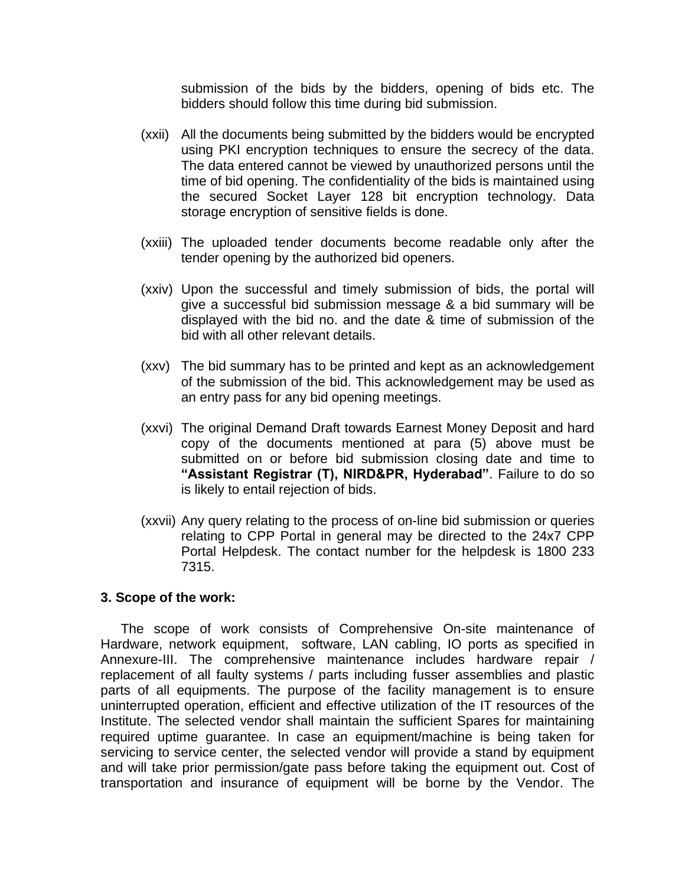submission of the bids by the bidders, opening of bids etc. The bidders should follow this time during bid submission.

- (xxii) All the documents being submitted by the bidders would be encrypted using PKI encryption techniques to ensure the secrecy of the data. The data entered cannot be viewed by unauthorized persons until the time of bid opening. The confidentiality of the bids is maintained using the secured Socket Layer 128 bit encryption technology. Data storage encryption of sensitive fields is done.
- (xxiii) The uploaded tender documents become readable only after the tender opening by the authorized bid openers.
- (xxiv) Upon the successful and timely submission of bids, the portal will give a successful bid submission message & a bid summary will be displayed with the bid no. and the date & time of submission of the bid with all other relevant details.
- (xxv) The bid summary has to be printed and kept as an acknowledgement of the submission of the bid. This acknowledgement may be used as an entry pass for any bid opening meetings.
- (xxvi) The original Demand Draft towards Earnest Money Deposit and hard copy of the documents mentioned at para (5) above must be submitted on or before bid submission closing date and time to **"Assistant Registrar (T), NIRD&PR, Hyderabad"**. Failure to do so is likely to entail rejection of bids.
- (xxvii) Any query relating to the process of on-line bid submission or queries relating to CPP Portal in general may be directed to the 24x7 CPP Portal Helpdesk. The contact number for the helpdesk is 1800 233 7315.

#### **3. Scope of the work:**

The scope of work consists of Comprehensive On-site maintenance of Hardware, network equipment, software, LAN cabling, IO ports as specified in Annexure-III. The comprehensive maintenance includes hardware repair / replacement of all faulty systems / parts including fusser assemblies and plastic parts of all equipments. The purpose of the facility management is to ensure uninterrupted operation, efficient and effective utilization of the IT resources of the Institute. The selected vendor shall maintain the sufficient Spares for maintaining required uptime guarantee. In case an equipment/machine is being taken for servicing to service center, the selected vendor will provide a stand by equipment and will take prior permission/gate pass before taking the equipment out. Cost of transportation and insurance of equipment will be borne by the Vendor. The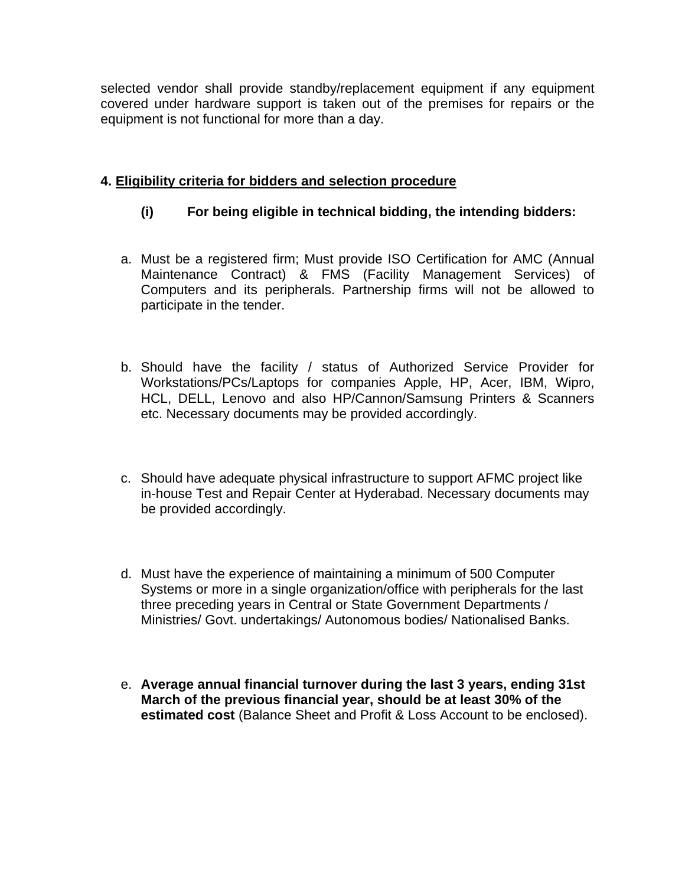selected vendor shall provide standby/replacement equipment if any equipment covered under hardware support is taken out of the premises for repairs or the equipment is not functional for more than a day.

## **4. Eligibility criteria for bidders and selection procedure**

## **(i) For being eligible in technical bidding, the intending bidders:**

- a. Must be a registered firm; Must provide ISO Certification for AMC (Annual Maintenance Contract) & FMS (Facility Management Services) of Computers and its peripherals. Partnership firms will not be allowed to participate in the tender.
- b. Should have the facility / status of Authorized Service Provider for Workstations/PCs/Laptops for companies Apple, HP, Acer, IBM, Wipro, HCL, DELL, Lenovo and also HP/Cannon/Samsung Printers & Scanners etc. Necessary documents may be provided accordingly.
- c. Should have adequate physical infrastructure to support AFMC project like in-house Test and Repair Center at Hyderabad. Necessary documents may be provided accordingly.
- d. Must have the experience of maintaining a minimum of 500 Computer Systems or more in a single organization/office with peripherals for the last three preceding years in Central or State Government Departments / Ministries/ Govt. undertakings/ Autonomous bodies/ Nationalised Banks.
- e. **Average annual financial turnover during the last 3 years, ending 31st March of the previous financial year, should be at least 30% of the estimated cost** (Balance Sheet and Profit & Loss Account to be enclosed).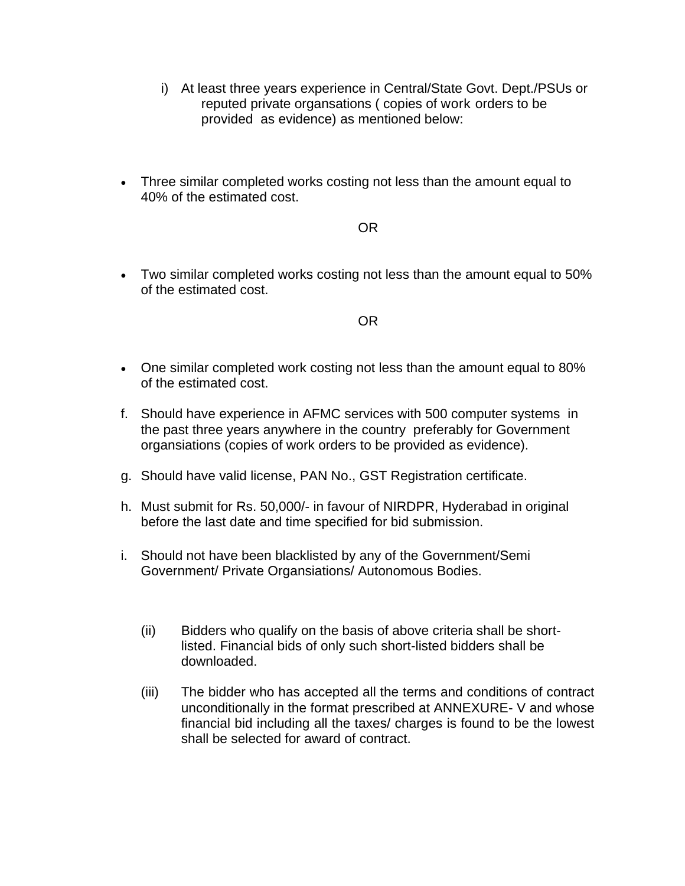- i) At least three years experience in Central/State Govt. Dept./PSUs or reputed private organsations ( copies of work orders to be provided as evidence) as mentioned below:
- Three similar completed works costing not less than the amount equal to 40% of the estimated cost.

#### OR

 Two similar completed works costing not less than the amount equal to 50% of the estimated cost.

#### OR

- One similar completed work costing not less than the amount equal to 80% of the estimated cost.
- f. Should have experience in AFMC services with 500 computer systems in the past three years anywhere in the country preferably for Government organsiations (copies of work orders to be provided as evidence).
- g. Should have valid license, PAN No., GST Registration certificate.
- h. Must submit for Rs. 50,000/- in favour of NIRDPR, Hyderabad in original before the last date and time specified for bid submission.
- i. Should not have been blacklisted by any of the Government/Semi Government/ Private Organsiations/ Autonomous Bodies.
	- (ii) Bidders who qualify on the basis of above criteria shall be shortlisted. Financial bids of only such short-listed bidders shall be downloaded.
	- (iii) The bidder who has accepted all the terms and conditions of contract unconditionally in the format prescribed at ANNEXURE- V and whose financial bid including all the taxes/ charges is found to be the lowest shall be selected for award of contract.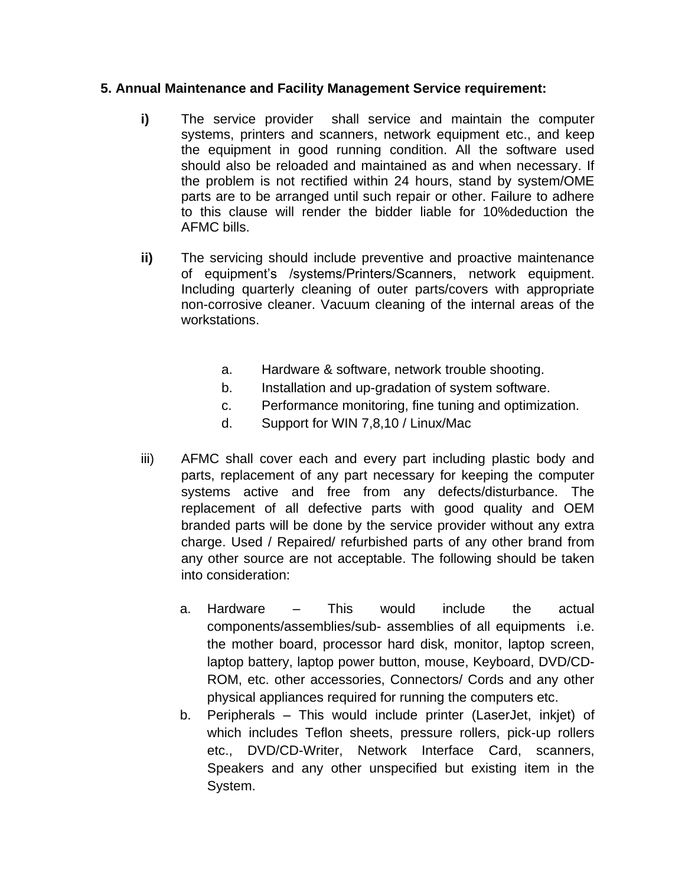### **5. Annual Maintenance and Facility Management Service requirement:**

- **i)** The service provider shall service and maintain the computer systems, printers and scanners, network equipment etc., and keep the equipment in good running condition. All the software used should also be reloaded and maintained as and when necessary. If the problem is not rectified within 24 hours, stand by system/OME parts are to be arranged until such repair or other. Failure to adhere to this clause will render the bidder liable for 10%deduction the AFMC bills.
- **ii)** The servicing should include preventive and proactive maintenance of equipment's /systems/Printers/Scanners, network equipment. Including quarterly cleaning of outer parts/covers with appropriate non-corrosive cleaner. Vacuum cleaning of the internal areas of the workstations.
	- a. Hardware & software, network trouble shooting.
	- b. Installation and up-gradation of system software.
	- c. Performance monitoring, fine tuning and optimization.
	- d. Support for WIN 7,8,10 / Linux/Mac
- iii) AFMC shall cover each and every part including plastic body and parts, replacement of any part necessary for keeping the computer systems active and free from any defects/disturbance. The replacement of all defective parts with good quality and OEM branded parts will be done by the service provider without any extra charge. Used / Repaired/ refurbished parts of any other brand from any other source are not acceptable. The following should be taken into consideration:
	- a. Hardware This would include the actual components/assemblies/sub- assemblies of all equipments i.e. the mother board, processor hard disk, monitor, laptop screen, laptop battery, laptop power button, mouse, Keyboard, DVD/CD-ROM, etc. other accessories, Connectors/ Cords and any other physical appliances required for running the computers etc.
	- b. Peripherals This would include printer (LaserJet, inkjet) of which includes Teflon sheets, pressure rollers, pick-up rollers etc., DVD/CD-Writer, Network Interface Card, scanners, Speakers and any other unspecified but existing item in the System.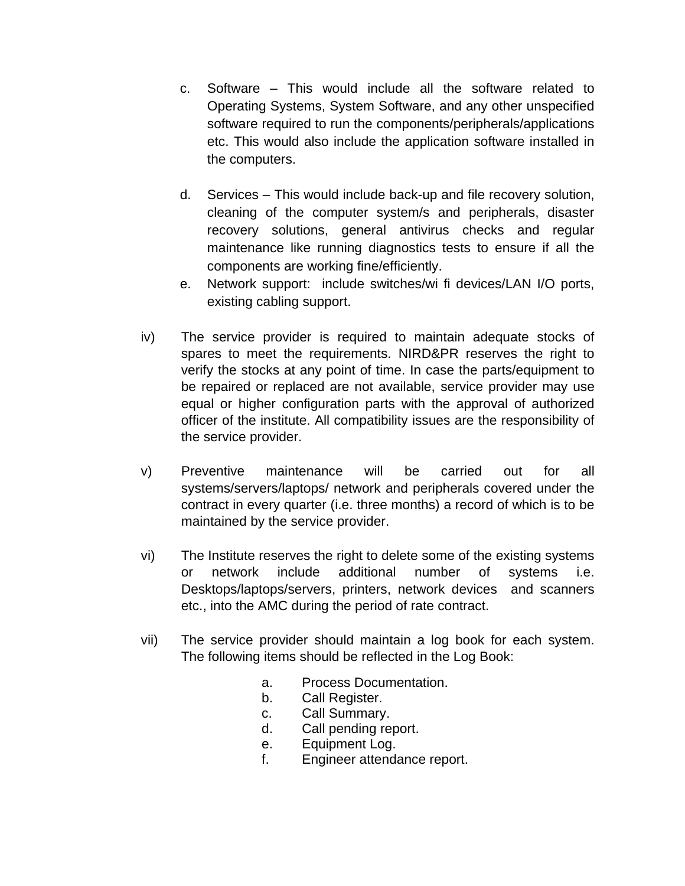- c. Software This would include all the software related to Operating Systems, System Software, and any other unspecified software required to run the components/peripherals/applications etc. This would also include the application software installed in the computers.
- d. Services This would include back-up and file recovery solution, cleaning of the computer system/s and peripherals, disaster recovery solutions, general antivirus checks and regular maintenance like running diagnostics tests to ensure if all the components are working fine/efficiently.
- e. Network support: include switches/wi fi devices/LAN I/O ports, existing cabling support.
- iv) The service provider is required to maintain adequate stocks of spares to meet the requirements. NIRD&PR reserves the right to verify the stocks at any point of time. In case the parts/equipment to be repaired or replaced are not available, service provider may use equal or higher configuration parts with the approval of authorized officer of the institute. All compatibility issues are the responsibility of the service provider.
- v) Preventive maintenance will be carried out for all systems/servers/laptops/ network and peripherals covered under the contract in every quarter (i.e. three months) a record of which is to be maintained by the service provider.
- vi) The Institute reserves the right to delete some of the existing systems or network include additional number of systems i.e. Desktops/laptops/servers, printers, network devices and scanners etc., into the AMC during the period of rate contract.
- vii) The service provider should maintain a log book for each system. The following items should be reflected in the Log Book:
	- a. Process Documentation.
	- b. Call Register.
	- c. Call Summary.
	- d. Call pending report.
	- e. Equipment Log.
	- f. Engineer attendance report.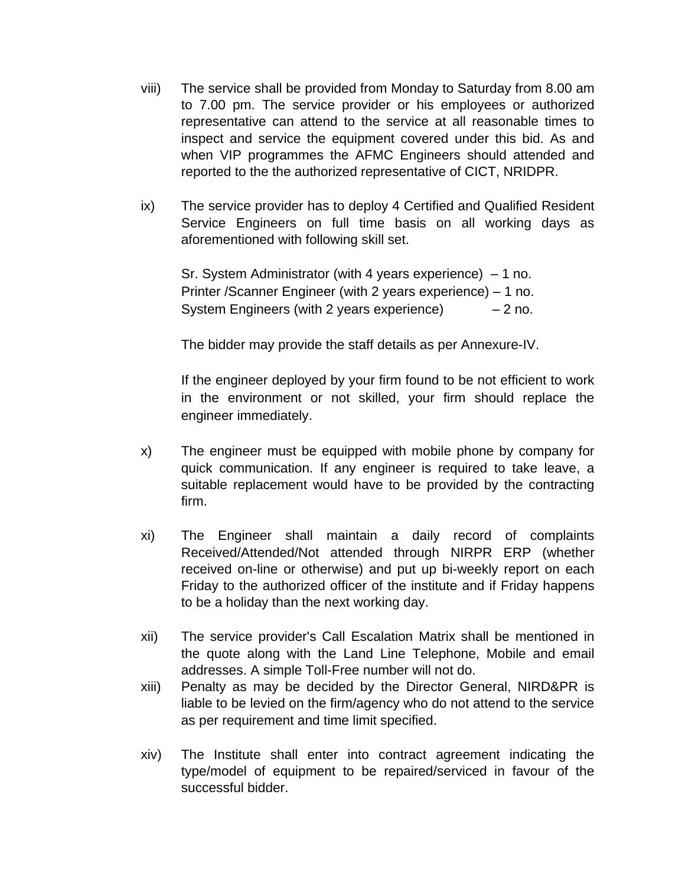- viii) The service shall be provided from Monday to Saturday from 8.00 am to 7.00 pm. The service provider or his employees or authorized representative can attend to the service at all reasonable times to inspect and service the equipment covered under this bid. As and when VIP programmes the AFMC Engineers should attended and reported to the the authorized representative of CICT, NRIDPR.
- ix) The service provider has to deploy 4 Certified and Qualified Resident Service Engineers on full time basis on all working days as aforementioned with following skill set.

Sr. System Administrator (with 4 years experience) – 1 no. Printer /Scanner Engineer (with 2 years experience) – 1 no. System Engineers (with 2 years experience)  $-2$  no.

The bidder may provide the staff details as per Annexure-IV.

If the engineer deployed by your firm found to be not efficient to work in the environment or not skilled, your firm should replace the engineer immediately.

- x) The engineer must be equipped with mobile phone by company for quick communication. If any engineer is required to take leave, a suitable replacement would have to be provided by the contracting firm.
- xi) The Engineer shall maintain a daily record of complaints Received/Attended/Not attended through NIRPR ERP (whether received on-line or otherwise) and put up bi-weekly report on each Friday to the authorized officer of the institute and if Friday happens to be a holiday than the next working day.
- xii) The service provider's Call Escalation Matrix shall be mentioned in the quote along with the Land Line Telephone, Mobile and email addresses. A simple Toll-Free number will not do.
- xiii) Penalty as may be decided by the Director General, NIRD&PR is liable to be levied on the firm/agency who do not attend to the service as per requirement and time limit specified.
- xiv) The Institute shall enter into contract agreement indicating the type/model of equipment to be repaired/serviced in favour of the successful bidder.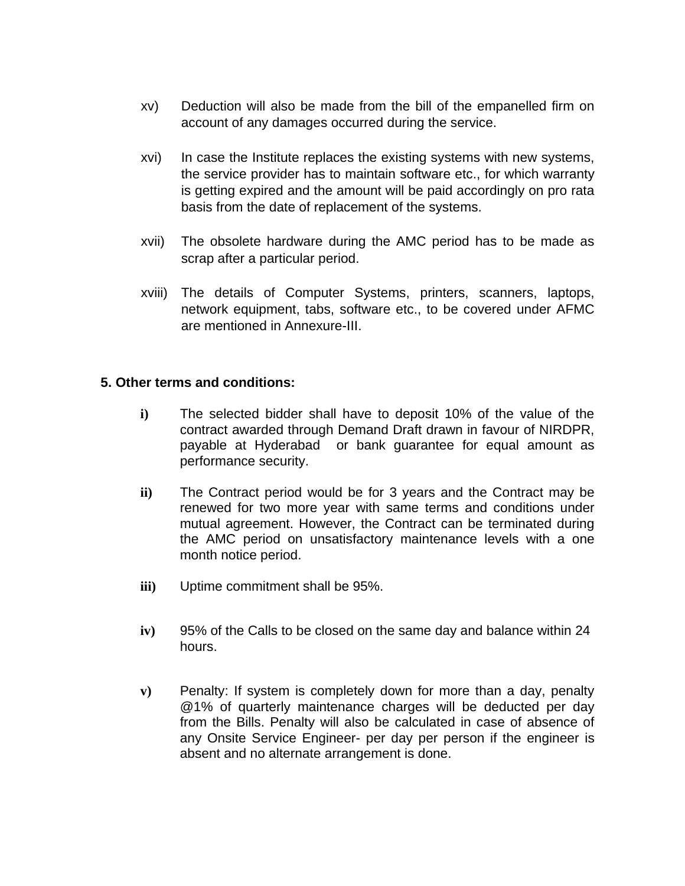- xv) Deduction will also be made from the bill of the empanelled firm on account of any damages occurred during the service.
- xvi) In case the Institute replaces the existing systems with new systems, the service provider has to maintain software etc., for which warranty is getting expired and the amount will be paid accordingly on pro rata basis from the date of replacement of the systems.
- xvii) The obsolete hardware during the AMC period has to be made as scrap after a particular period.
- xviii) The details of Computer Systems, printers, scanners, laptops, network equipment, tabs, software etc., to be covered under AFMC are mentioned in Annexure-III.

#### **5. Other terms and conditions:**

- **i)** The selected bidder shall have to deposit 10% of the value of the contract awarded through Demand Draft drawn in favour of NIRDPR, payable at Hyderabad or bank guarantee for equal amount as performance security.
- **ii)** The Contract period would be for 3 years and the Contract may be renewed for two more year with same terms and conditions under mutual agreement. However, the Contract can be terminated during the AMC period on unsatisfactory maintenance levels with a one month notice period.
- **iii)** Uptime commitment shall be 95%.
- **iv)** 95% of the Calls to be closed on the same day and balance within 24 hours.
- **v)** Penalty: If system is completely down for more than a day, penalty @1% of quarterly maintenance charges will be deducted per day from the Bills. Penalty will also be calculated in case of absence of any Onsite Service Engineer- per day per person if the engineer is absent and no alternate arrangement is done.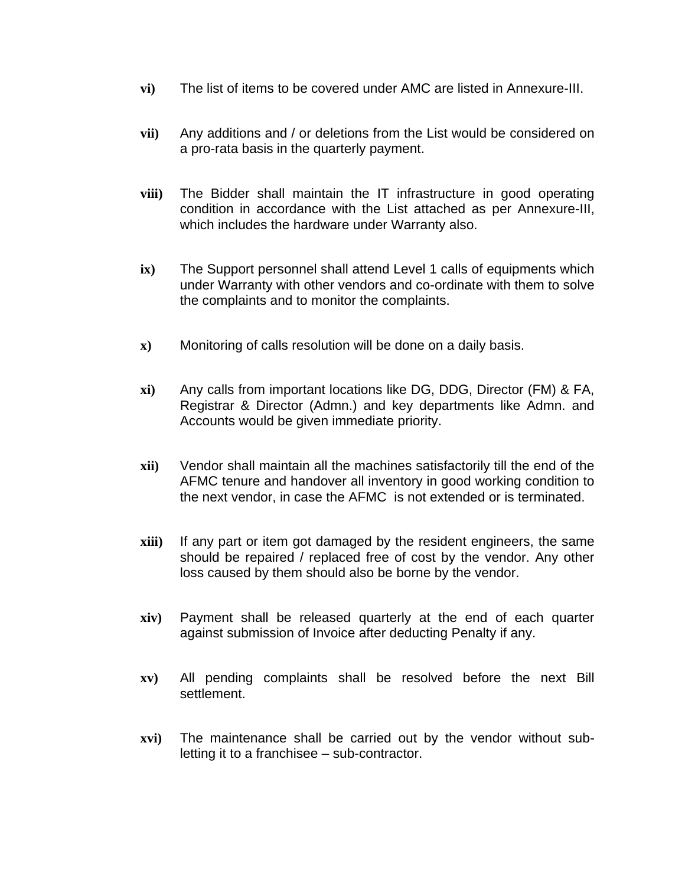- **vi)** The list of items to be covered under AMC are listed in Annexure-III.
- **vii)** Any additions and / or deletions from the List would be considered on a pro-rata basis in the quarterly payment.
- **viii)** The Bidder shall maintain the IT infrastructure in good operating condition in accordance with the List attached as per Annexure-III, which includes the hardware under Warranty also.
- **ix)** The Support personnel shall attend Level 1 calls of equipments which under Warranty with other vendors and co-ordinate with them to solve the complaints and to monitor the complaints.
- **x)** Monitoring of calls resolution will be done on a daily basis.
- **xi)** Any calls from important locations like DG, DDG, Director (FM) & FA, Registrar & Director (Admn.) and key departments like Admn. and Accounts would be given immediate priority.
- **xii)** Vendor shall maintain all the machines satisfactorily till the end of the AFMC tenure and handover all inventory in good working condition to the next vendor, in case the AFMC is not extended or is terminated.
- **xiii)** If any part or item got damaged by the resident engineers, the same should be repaired / replaced free of cost by the vendor. Any other loss caused by them should also be borne by the vendor.
- **xiv)** Payment shall be released quarterly at the end of each quarter against submission of Invoice after deducting Penalty if any.
- **xv)** All pending complaints shall be resolved before the next Bill settlement.
- **xvi)** The maintenance shall be carried out by the vendor without subletting it to a franchisee – sub-contractor.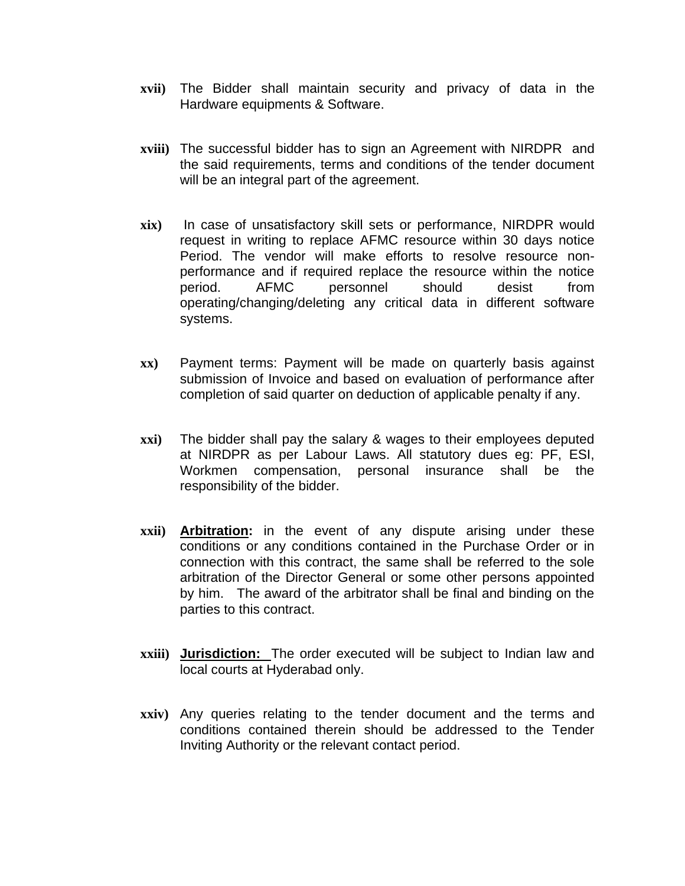- **xvii)** The Bidder shall maintain security and privacy of data in the Hardware equipments & Software.
- **xviii)** The successful bidder has to sign an Agreement with NIRDPR and the said requirements, terms and conditions of the tender document will be an integral part of the agreement.
- **xix)** In case of unsatisfactory skill sets or performance, NIRDPR would request in writing to replace AFMC resource within 30 days notice Period. The vendor will make efforts to resolve resource nonperformance and if required replace the resource within the notice period. AFMC personnel should desist from operating/changing/deleting any critical data in different software systems.
- **xx)** Payment terms: Payment will be made on quarterly basis against submission of Invoice and based on evaluation of performance after completion of said quarter on deduction of applicable penalty if any.
- **xxi)** The bidder shall pay the salary & wages to their employees deputed at NIRDPR as per Labour Laws. All statutory dues eg: PF, ESI, Workmen compensation, personal insurance shall be the responsibility of the bidder.
- **xxii) Arbitration:** in the event of any dispute arising under these conditions or any conditions contained in the Purchase Order or in connection with this contract, the same shall be referred to the sole arbitration of the Director General or some other persons appointed by him. The award of the arbitrator shall be final and binding on the parties to this contract.
- **xxiii) Jurisdiction:** The order executed will be subject to Indian law and local courts at Hyderabad only.
- **xxiv)** Any queries relating to the tender document and the terms and conditions contained therein should be addressed to the Tender Inviting Authority or the relevant contact period.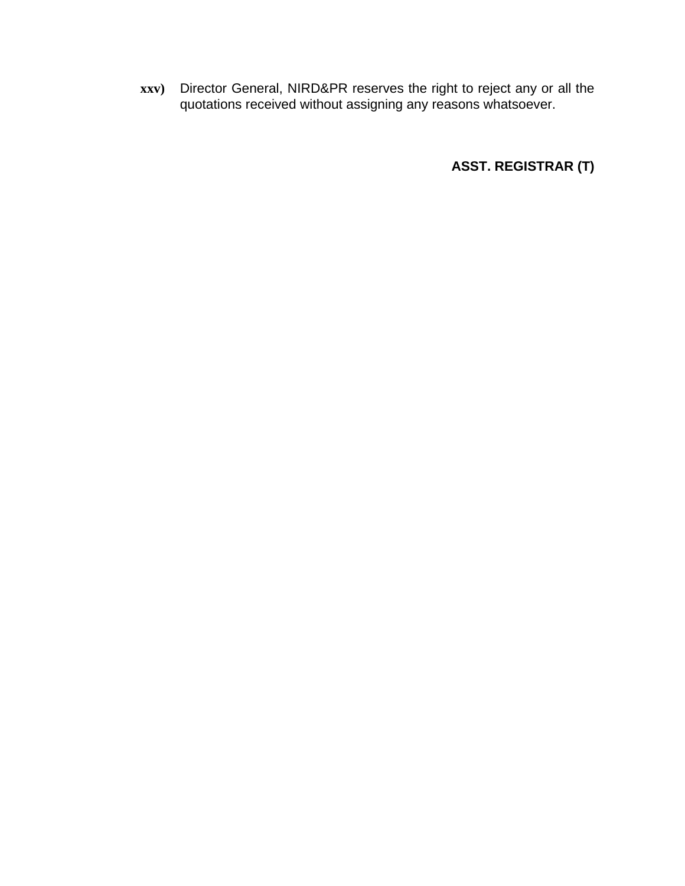**xxv)** Director General, NIRD&PR reserves the right to reject any or all the quotations received without assigning any reasons whatsoever.

**ASST. REGISTRAR (T)**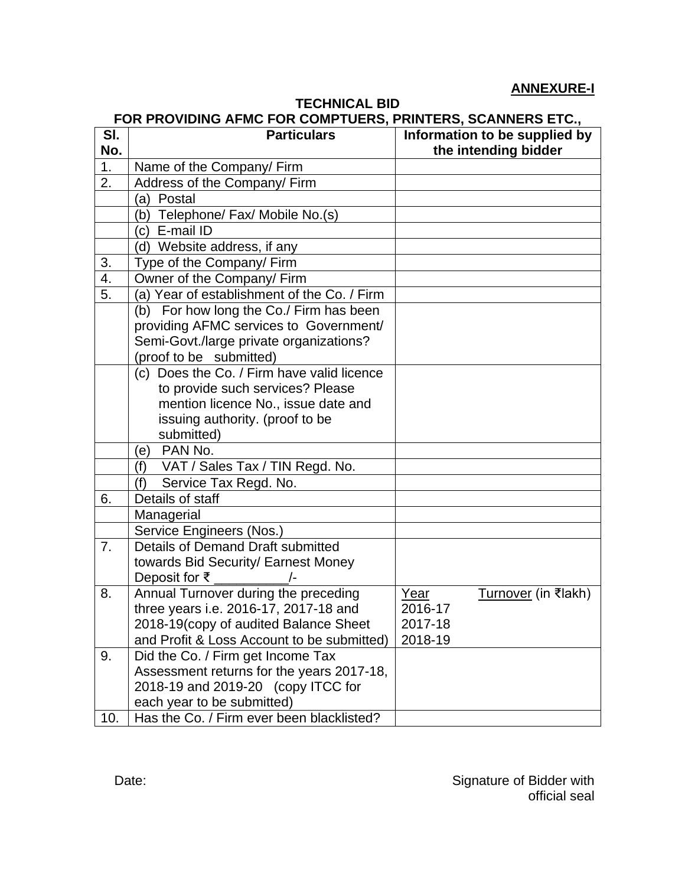# **ANNEXURE-I**

# **TECHNICAL BID**

# **FOR PROVIDING AFMC FOR COMPTUERS, PRINTERS, SCANNERS ETC.,**

| SI.              | <b>Particulars</b>                          | Information to be supplied by |
|------------------|---------------------------------------------|-------------------------------|
| No.              |                                             | the intending bidder          |
| 1.               | Name of the Company/ Firm                   |                               |
| 2.               | Address of the Company/ Firm                |                               |
|                  | (a) Postal                                  |                               |
|                  | (b) Telephone/ Fax/ Mobile No.(s)           |                               |
|                  | (c) E-mail ID                               |                               |
|                  | (d) Website address, if any                 |                               |
| 3.               | Type of the Company/ Firm                   |                               |
| $\overline{4}$ . | Owner of the Company/ Firm                  |                               |
| 5.               | (a) Year of establishment of the Co. / Firm |                               |
|                  | (b) For how long the Co./ Firm has been     |                               |
|                  | providing AFMC services to Government/      |                               |
|                  | Semi-Govt./large private organizations?     |                               |
|                  | (proof to be submitted)                     |                               |
|                  | (c) Does the Co. / Firm have valid licence  |                               |
|                  | to provide such services? Please            |                               |
|                  | mention licence No., issue date and         |                               |
|                  | issuing authority. (proof to be             |                               |
|                  | submitted)                                  |                               |
|                  | PAN No.<br>(e)                              |                               |
|                  | VAT / Sales Tax / TIN Regd. No.<br>(f)      |                               |
|                  | Service Tax Regd. No.<br>(f)                |                               |
| 6.               | Details of staff                            |                               |
|                  | Managerial                                  |                               |
|                  | Service Engineers (Nos.)                    |                               |
| 7.               | Details of Demand Draft submitted           |                               |
|                  | towards Bid Security/ Earnest Money         |                               |
|                  | Deposit for ₹ $\sqrt{2}$                    |                               |
| 8.               | Annual Turnover during the preceding        | Year<br>Turnover (in ₹lakh)   |
|                  | three years i.e. 2016-17, 2017-18 and       | 2016-17                       |
|                  | 2018-19(copy of audited Balance Sheet       | 2017-18                       |
|                  | and Profit & Loss Account to be submitted)  | 2018-19                       |
| 9.               | Did the Co. / Firm get Income Tax           |                               |
|                  | Assessment returns for the years 2017-18,   |                               |
|                  | 2018-19 and 2019-20 (copy ITCC for          |                               |
|                  | each year to be submitted)                  |                               |
| 10.              | Has the Co. / Firm ever been blacklisted?   |                               |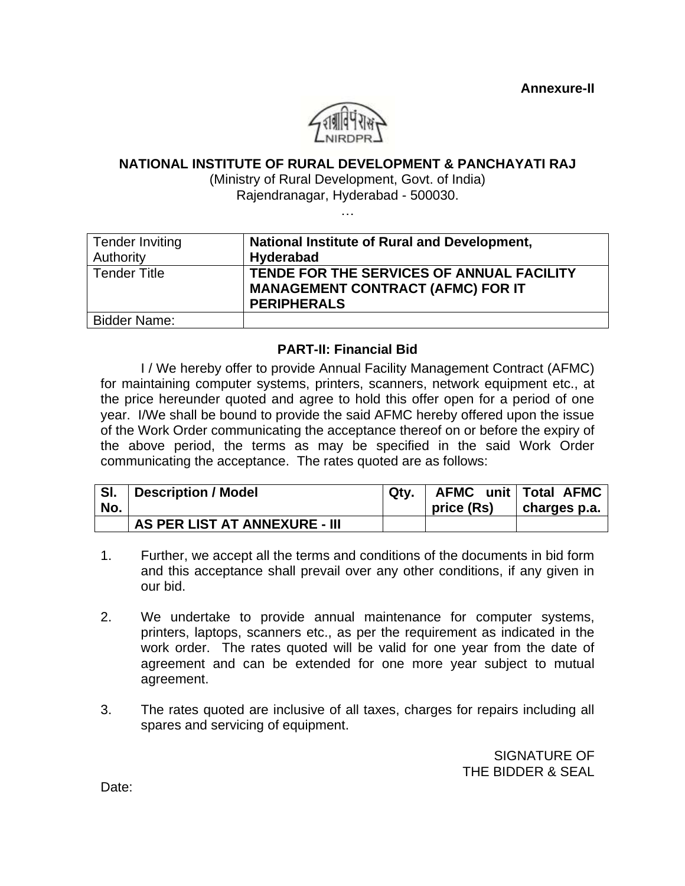**Annexure-II**



#### **NATIONAL INSTITUTE OF RURAL DEVELOPMENT & PANCHAYATI RAJ**

(Ministry of Rural Development, Govt. of India)

Rajendranagar, Hyderabad - 500030.

| . |
|---|

| <b>Tender Inviting</b><br>Authority | National Institute of Rural and Development,<br><b>Hyderabad</b>                                            |
|-------------------------------------|-------------------------------------------------------------------------------------------------------------|
| <b>Tender Title</b>                 | TENDE FOR THE SERVICES OF ANNUAL FACILITY<br><b>MANAGEMENT CONTRACT (AFMC) FOR IT</b><br><b>PERIPHERALS</b> |
| <b>Bidder Name:</b>                 |                                                                                                             |

#### **PART-II: Financial Bid**

I / We hereby offer to provide Annual Facility Management Contract (AFMC) for maintaining computer systems, printers, scanners, network equipment etc., at the price hereunder quoted and agree to hold this offer open for a period of one year. I/We shall be bound to provide the said AFMC hereby offered upon the issue of the Work Order communicating the acceptance thereof on or before the expiry of the above period, the terms as may be specified in the said Work Order communicating the acceptance. The rates quoted are as follows:

| SI. | Description / Model           | Qtv. |            | AFMC unit   Total AFMC |
|-----|-------------------------------|------|------------|------------------------|
| No. |                               |      | price (Rs) | charges $p.a.$         |
|     | AS PER LIST AT ANNEXURE - III |      |            |                        |

- 1. Further, we accept all the terms and conditions of the documents in bid form and this acceptance shall prevail over any other conditions, if any given in our bid.
- 2. We undertake to provide annual maintenance for computer systems, printers, laptops, scanners etc., as per the requirement as indicated in the work order. The rates quoted will be valid for one year from the date of agreement and can be extended for one more year subject to mutual agreement.
- 3. The rates quoted are inclusive of all taxes, charges for repairs including all spares and servicing of equipment.

 SIGNATURE OF THE BIDDER & SEAL

Date: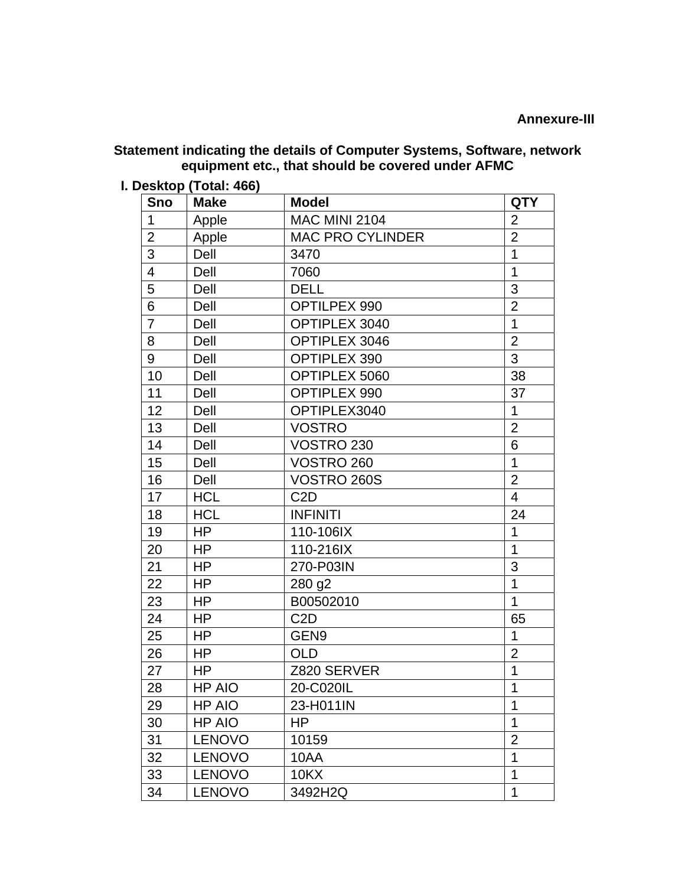#### **Statement indicating the details of Computer Systems, Software, network equipment etc., that should be covered under AFMC**

**I. Desktop (Total: 466)**

| Sno            | <b>Make</b>   | <b>Model</b>            | <b>QTY</b>     |
|----------------|---------------|-------------------------|----------------|
| $\mathbf 1$    | Apple         | <b>MAC MINI 2104</b>    | $\overline{2}$ |
| $\overline{2}$ | Apple         | <b>MAC PRO CYLINDER</b> | $\overline{2}$ |
| 3              | Dell          | 3470                    | 1              |
| $\overline{4}$ | Dell          | 7060                    | 1              |
| 5              | Dell          | <b>DELL</b>             | 3              |
| 6              | Dell          | OPTILPEX 990            | $\overline{2}$ |
| $\overline{7}$ | Dell          | OPTIPLEX 3040           | 1              |
| 8              | Dell          | OPTIPLEX 3046           | $\overline{2}$ |
| 9              | Dell          | <b>OPTIPLEX 390</b>     | 3              |
| 10             | Dell          | OPTIPLEX 5060           | 38             |
| 11             | Dell          | <b>OPTIPLEX 990</b>     | 37             |
| 12             | Dell          | OPTIPLEX3040            | 1              |
| 13             | Dell          | <b>VOSTRO</b>           | $\overline{2}$ |
| 14             | Dell          | <b>VOSTRO 230</b>       | 6              |
| 15             | Dell          | VOSTRO 260              | 1              |
| 16             | Dell          | VOSTRO 260S             | $\overline{2}$ |
| 17             | <b>HCL</b>    | C <sub>2</sub> D        | $\overline{4}$ |
| 18             | <b>HCL</b>    | <b>INFINITI</b>         | 24             |
| 19             | HP            | 110-106IX               | 1              |
| 20             | <b>HP</b>     | 110-216IX               | $\overline{1}$ |
| 21             | <b>HP</b>     | 270-P03IN               | 3              |
| 22             | HP            | 280 g2                  | 1              |
| 23             | <b>HP</b>     | B00502010               | $\mathbf{1}$   |
| 24             | HP            | C <sub>2</sub> D        | 65             |
| 25             | <b>HP</b>     | GEN9                    | $\mathbf 1$    |
| 26             | <b>HP</b>     | <b>OLD</b>              | $\overline{2}$ |
| 27             | HP            | Z820 SERVER             | 1              |
| 28             | <b>HP AIO</b> | 20-C020IL               | 1              |
| 29             | <b>HP AIO</b> | 23-H011IN               | 1              |
| 30             | HP AIO        | HP                      | 1              |
| 31             | <b>LENOVO</b> | 10159                   | $\overline{2}$ |
| 32             | <b>LENOVO</b> | 10AA                    | $\overline{1}$ |
| 33             | <b>LENOVO</b> | <b>10KX</b>             | 1              |
| 34             | <b>LENOVO</b> | 3492H2Q                 | 1              |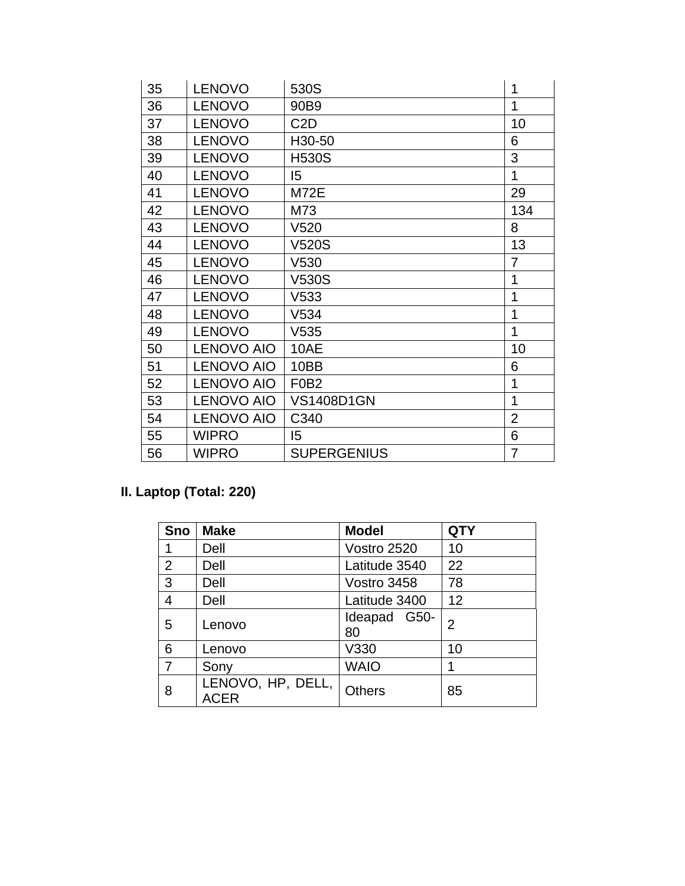| 35 | <b>LENOVO</b>     | 530S                          | 1              |
|----|-------------------|-------------------------------|----------------|
| 36 | <b>LENOVO</b>     | 90B9                          | 1              |
| 37 | <b>LENOVO</b>     | C <sub>2</sub> D              | 10             |
| 38 | <b>LENOVO</b>     | H30-50                        | 6              |
| 39 | <b>LENOVO</b>     | <b>H530S</b>                  | 3              |
| 40 | <b>LENOVO</b>     | $\overline{5}$                | 1              |
| 41 | <b>LENOVO</b>     | <b>M72E</b>                   | 29             |
| 42 | <b>LENOVO</b>     | M73                           | 134            |
| 43 | <b>LENOVO</b>     | V <sub>520</sub>              | 8              |
| 44 | <b>LENOVO</b>     | V520S                         | 13             |
| 45 | <b>LENOVO</b>     | V530                          | $\overline{7}$ |
| 46 | <b>LENOVO</b>     | <b>V530S</b>                  | 1              |
| 47 | <b>LENOVO</b>     | V533                          | 1              |
| 48 | <b>LENOVO</b>     | V534                          | 1              |
| 49 | <b>LENOVO</b>     | V535                          | 1              |
| 50 | <b>LENOVO AIO</b> | 10AE                          | 10             |
| 51 | <b>LENOVO AIO</b> | 10BB                          | 6              |
| 52 | <b>LENOVO AIO</b> | F <sub>0</sub> B <sub>2</sub> | 1              |
| 53 | <b>LENOVO AIO</b> | <b>VS1408D1GN</b>             | 1              |
| 54 | <b>LENOVO AIO</b> | C340                          | $\overline{2}$ |
| 55 | <b>WIPRO</b>      | 15                            | 6              |
| 56 | <b>WIPRO</b>      | <b>SUPERGENIUS</b>            | 7              |

# **II. Laptop (Total: 220)**

| <b>Sno</b>     | <b>Make</b>                      | <b>Model</b>       | <b>QTY</b> |
|----------------|----------------------------------|--------------------|------------|
|                | Dell                             | Vostro 2520        | 10         |
| $\overline{2}$ | Dell                             | Latitude 3540      | 22         |
| 3              | Dell                             | Vostro 3458        | 78         |
| $\overline{4}$ | Dell                             | Latitude 3400      | 12         |
| 5              | Lenovo                           | Ideapad G50-<br>80 | 2          |
| 6              | Lenovo                           | V330               | 10         |
| $\overline{7}$ | Sony                             | <b>WAIO</b>        | 1          |
| 8              | LENOVO, HP, DELL,<br><b>ACER</b> | <b>Others</b>      | 85         |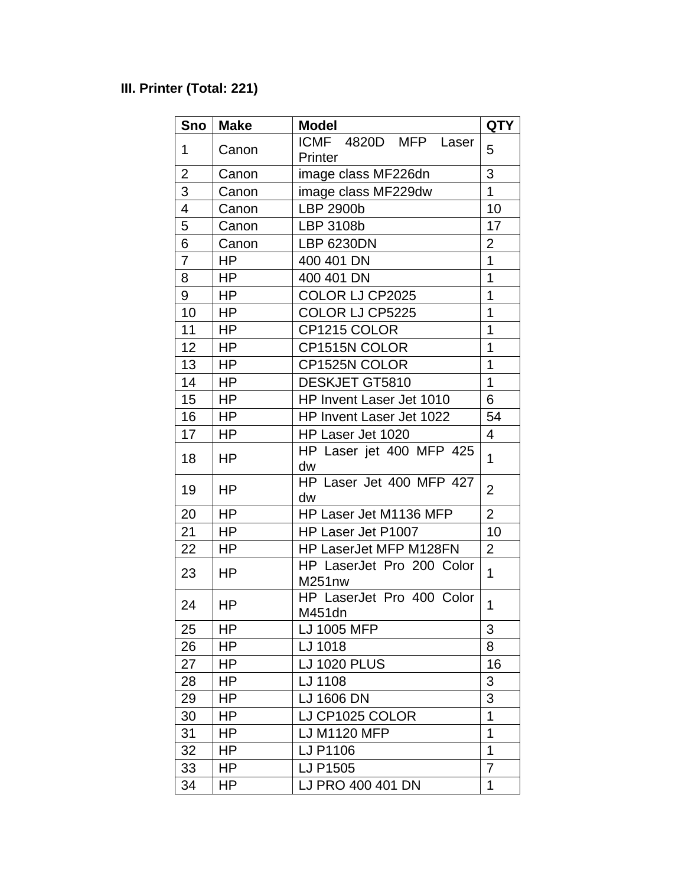# **III. Printer (Total: 221)**

| Sno            | <b>Make</b> | <b>Model</b>                        | <b>QTY</b>     |
|----------------|-------------|-------------------------------------|----------------|
| 1              | Canon       | ICMF 4820D MFP<br>Laser<br>Printer  | 5              |
| $\overline{2}$ | Canon       | image class MF226dn                 | 3              |
| 3              | Canon       | image class MF229dw                 | $\mathbf{1}$   |
| 4              | Canon       | LBP 2900b                           | 10             |
| 5              | Canon       | LBP 3108b                           | 17             |
| 6              | Canon       | <b>LBP 6230DN</b>                   | $\overline{2}$ |
| $\overline{7}$ | HP          | 400 401 DN                          | 1              |
| 8              | HP.         | 400 401 DN                          | 1              |
| 9              | <b>HP</b>   | COLOR LJ CP2025                     | 1              |
| 10             | <b>HP</b>   | COLOR LJ CP5225                     | 1              |
| 11             | HP          | CP1215 COLOR                        | 1              |
| 12             | <b>HP</b>   | CP1515N COLOR                       | 1              |
| 13             | HP          | CP1525N COLOR                       | 1              |
| 14             | HP          | DESKJET GT5810                      | 1              |
| 15             | HP          | HP Invent Laser Jet 1010            | 6              |
| 16             | HP          | HP Invent Laser Jet 1022            | 54             |
| 17             | HP          | HP Laser Jet 1020                   | 4              |
| 18             | HP          | HP Laser jet 400 MFP 425<br>dw      | $\mathbf{1}$   |
| 19             | ΗP          | HP Laser Jet 400 MFP 427<br>dw      | $\overline{2}$ |
| 20             | <b>HP</b>   | HP Laser Jet M1136 MFP              | $\overline{2}$ |
| 21             | <b>HP</b>   | HP Laser Jet P1007                  | 10             |
| 22             | <b>HP</b>   | HP LaserJet MFP M128FN              | $\overline{2}$ |
| 23             | HP          | HP LaserJet Pro 200 Color<br>M251nw | 1              |
| 24             | <b>HP</b>   | HP LaserJet Pro 400 Color<br>M451dn | $\overline{1}$ |
| 25             | ΗP          | LJ 1005 MFP                         | 3              |
| 26             | HP.         | LJ 1018                             | 8              |
| 27             | HP.         | <b>LJ 1020 PLUS</b>                 | 16             |
| 28             | HP          | LJ 1108                             | 3              |
| 29             | <b>HP</b>   | LJ 1606 DN                          | 3              |
| 30             | HP          | LJ CP1025 COLOR                     | 1              |
| 31             | HP.         | LJ M1120 MFP                        | 1              |
| 32             | HP          | LJ P1106                            | 1              |
| 33             | <b>HP</b>   | LJ P1505                            | 7              |
| 34             | ΗP          | LJ PRO 400 401 DN                   | 1              |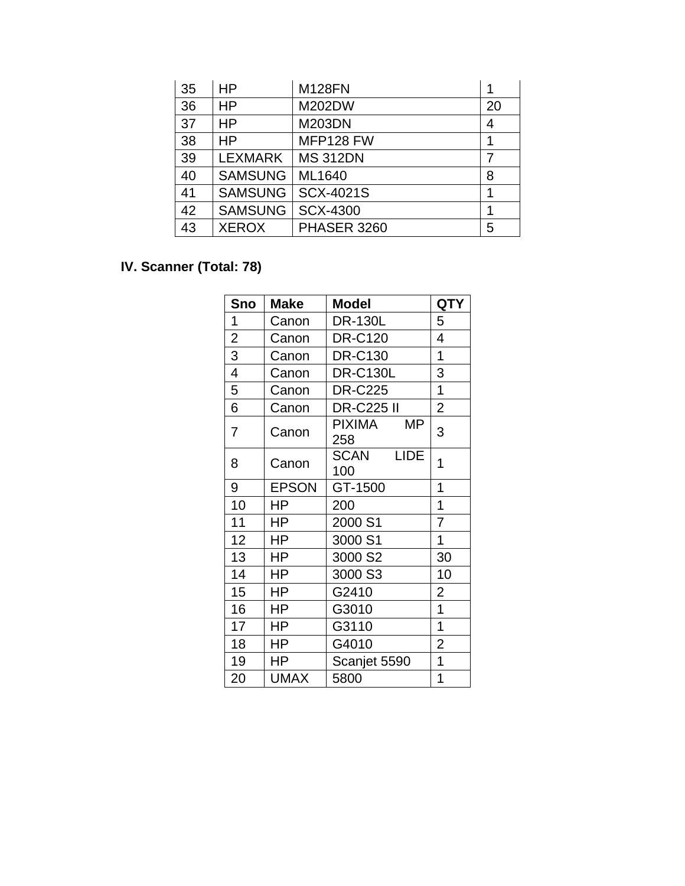| 35 | HP             | <b>M128FN</b>      |    |
|----|----------------|--------------------|----|
| 36 | <b>HP</b>      | M202DW             | 20 |
| 37 | <b>HP</b>      | <b>M203DN</b>      | 4  |
| 38 | HP             | MFP128 FW          | 1  |
| 39 | <b>LEXMARK</b> | <b>MS 312DN</b>    |    |
| 40 | <b>SAMSUNG</b> | ML1640             | 8  |
| 41 | <b>SAMSUNG</b> | <b>SCX-4021S</b>   |    |
| 42 | <b>SAMSUNG</b> | <b>SCX-4300</b>    |    |
| 43 | <b>XEROX</b>   | <b>PHASER 3260</b> | 5  |

# **IV. Scanner (Total: 78)**

| Sno            | <b>Make</b>  | Model                             | <b>QTY</b>     |
|----------------|--------------|-----------------------------------|----------------|
| 1              | Canon        | <b>DR-130L</b>                    | 5              |
| $\overline{c}$ | Canon        | <b>DR-C120</b>                    | 4              |
| 3              | Canon        | <b>DR-C130</b>                    | 1              |
| 4              | Canon        | <b>DR-C130L</b>                   | 3              |
| 5              | Canon        | <b>DR-C225</b>                    | $\overline{1}$ |
| 6              | Canon        | <b>DR-C225 II</b>                 | $\overline{2}$ |
| 7              | Canon        | PIXIMA<br>MР<br>258               | 3              |
| 8              | Canon        | <b>SCAN</b><br><b>LIDE</b><br>100 | 1              |
| 9              | <b>EPSON</b> | GT-1500                           | 1              |
| 10             | HP.          | 200                               | 1              |
| 11             | HP           | 2000 S1                           | 7              |
| 12             | HP           | 3000 S1                           | 1              |
| 13             | HP           | 3000 S2                           | 30             |
| 14             | HP           | 3000 S3                           | 10             |
| 15             | HP           | G2410                             | 2              |
| 16             | HP           | G3010                             | $\overline{1}$ |
| 17             | HP.          | G3110                             | $\overline{1}$ |
| 18             | HP           | G4010                             | $\overline{2}$ |
| 19             | HP           | Scanjet 5590                      | $\overline{1}$ |
| 20             | <b>UMAX</b>  | 5800                              | $\overline{1}$ |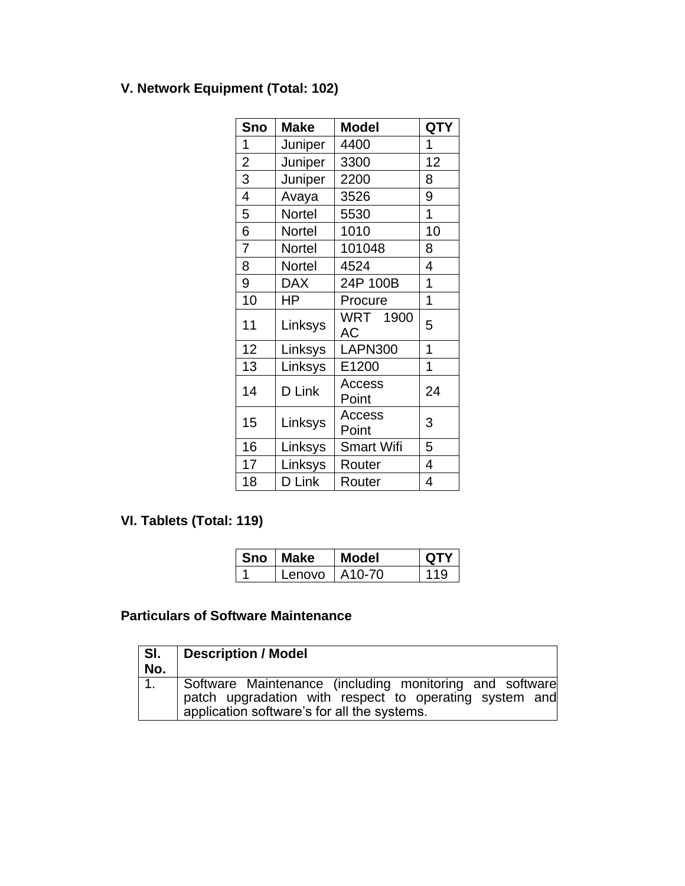# **V. Network Equipment (Total: 102)**

| Sno            | <b>Make</b> | <b>Model</b>      | <b>QTY</b> |
|----------------|-------------|-------------------|------------|
| 1              | Juniper     | 4400              | 1          |
| $\overline{c}$ | Juniper     | 3300              | 12         |
| 3              | Juniper     | 2200              | 8          |
| $\overline{4}$ | Avaya       | 3526              | 9          |
| 5              | Nortel      | 5530              | 1          |
| 6              | Nortel      | 1010              | 10         |
| 7              | Nortel      | 101048            | 8          |
| 8              | Nortel      | 4524              | 4          |
| 9              | <b>DAX</b>  | 24P 100B          | 1          |
| 10             | HP          | Procure           | 1          |
| 11             | Linksys     | WRT 1900<br>AC    | 5          |
| 12             | Linksys     | <b>LAPN300</b>    | 1          |
| 13             | Linksys     | E1200             | 1          |
| 14             | D Link      | Access<br>Point   | 24         |
| 15             | Linksys     | Access<br>Point   | 3          |
| 16             | Linksys     | <b>Smart Wifi</b> | 5          |
| 17             | Linksys     | Router            | 4          |
| 18             | D Link      | Router            | 4          |

# **VI. Tablets (Total: 119)**

| Sno   Make        | <b>Model</b> | <b>OTY</b> |
|-------------------|--------------|------------|
| Lenovo $1$ A10-70 |              | 110        |

# **Particulars of Software Maintenance**

| SI.<br>No.     | Description / Model                                                                                                                                              |
|----------------|------------------------------------------------------------------------------------------------------------------------------------------------------------------|
| 1 <sub>1</sub> | Software Maintenance (including monitoring and software<br>patch upgradation with respect to operating system and<br>application software's for all the systems. |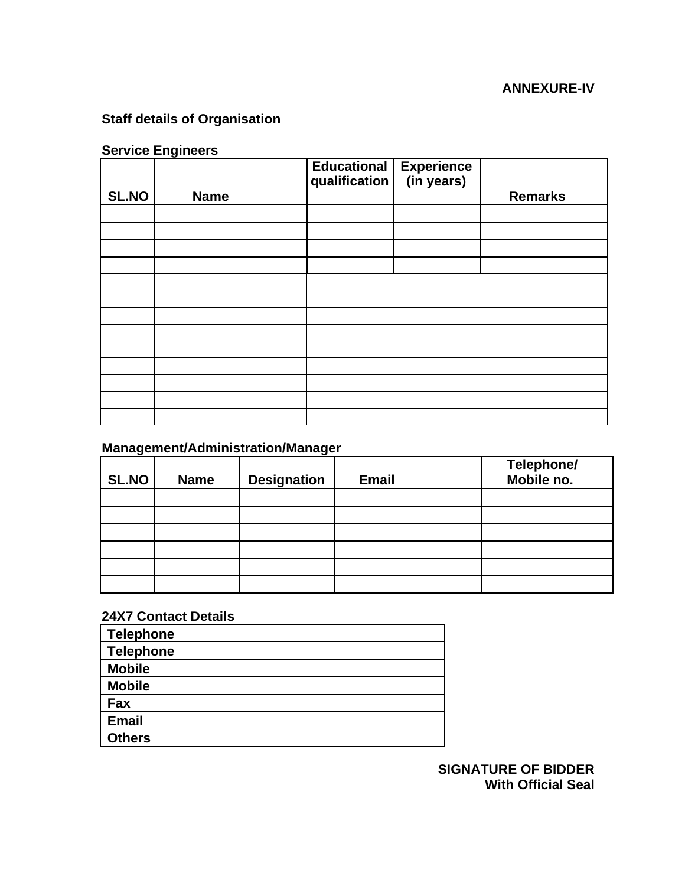### **ANNEXURE-IV**

# **Staff details of Organisation**

# **Service Engineers**

|              |             | Educational Experience<br>qualification (in years)<br>qualification |                |
|--------------|-------------|---------------------------------------------------------------------|----------------|
| <b>SL.NO</b> | <b>Name</b> |                                                                     | <b>Remarks</b> |
|              |             |                                                                     |                |
|              |             |                                                                     |                |
|              |             |                                                                     |                |
|              |             |                                                                     |                |
|              |             |                                                                     |                |
|              |             |                                                                     |                |
|              |             |                                                                     |                |
|              |             |                                                                     |                |
|              |             |                                                                     |                |
|              |             |                                                                     |                |
|              |             |                                                                     |                |
|              |             |                                                                     |                |
|              |             |                                                                     |                |

# **Management/Administration/Manager**

| <b>SL.NO</b> | <b>Name</b> | <b>Designation</b> | <b>Email</b> | Telephone/<br>Mobile no. |
|--------------|-------------|--------------------|--------------|--------------------------|
|              |             |                    |              |                          |
|              |             |                    |              |                          |
|              |             |                    |              |                          |
|              |             |                    |              |                          |
|              |             |                    |              |                          |
|              |             |                    |              |                          |

#### **24X7 Contact Details**

| <b>Telephone</b> |  |
|------------------|--|
| <b>Telephone</b> |  |
| <b>Mobile</b>    |  |
| <b>Mobile</b>    |  |
| Fax              |  |
| <b>Email</b>     |  |
| <b>Others</b>    |  |

**SIGNATURE OF BIDDER With Official Seal**